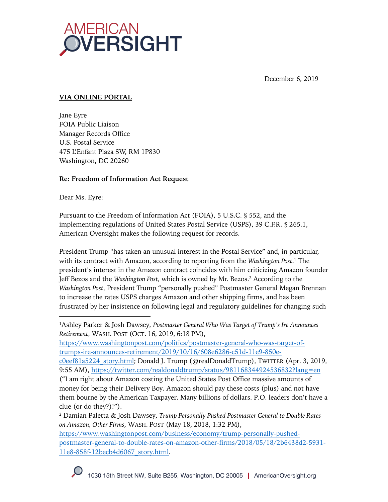

December 6, 2019

# **VIA ONLINE PORTAL**

Jane Eyre FOIA Public Liaison Manager Records Office U.S. Postal Service 475 L'Enfant Plaza SW, RM 1P830 Washington, DC 20260

## **Re: Freedom of Information Act Request**

Dear Ms. Eyre:

Pursuant to the Freedom of Information Act (FOIA), 5 U.S.C. § 552, and the implementing regulations of United States Postal Service (USPS), 39 C.F.R. § 265.1, American Oversight makes the following request for records.

President Trump "has taken an unusual interest in the Postal Service" and, in particular, with its contract with Amazon, according to reporting from the *Washington Post*. <sup>1</sup> The president's interest in the Amazon contract coincides with him criticizing Amazon founder Jeff Bezos and the *Washington Post*, which is owned by Mr. Bezos.2 According to the *Washington Post*, President Trump "personally pushed" Postmaster General Megan Brennan to increase the rates USPS charges Amazon and other shipping firms, and has been frustrated by her insistence on following legal and regulatory guidelines for changing such

<sup>1</sup>Ashley Parker & Josh Dawsey, *Postmaster General Who Was Target of Trump's Ire Announces Retirement*, WASH. POST (OCT. 16, 2019, 6:18 PM),

https://www.washingtonpost.com/politics/postmaster-general-who-was-target-oftrumps-ire-announces-retirement/2019/10/16/608e6286-c51d-11e9-850e-

c0eef81a5224\_story.html; Donald J. Trump (@realDonaldTrump), TWITTER (Apr. 3, 2019, 9:55 AM), https://twitter.com/realdonaldtrump/status/981168344924536832?lang=en

<sup>(&</sup>quot;I am right about Amazon costing the United States Post Office massive amounts of money for being their Delivery Boy. Amazon should pay these costs (plus) and not have them bourne by the American Taxpayer. Many billions of dollars. P.O. leaders don't have a clue (or do they?)!").

<sup>2</sup> Damian Paletta & Josh Dawsey, *Trump Personally Pushed Postmaster General to Double Rates on Amazon, Other Firms*, WASH. POST (May 18, 2018, 1:32 PM),

https://www.washingtonpost.com/business/economy/trump-personally-pushedpostmaster-general-to-double-rates-on-amazon-other-firms/2018/05/18/2b6438d2-5931- 11e8-858f-12becb4d6067\_story.html.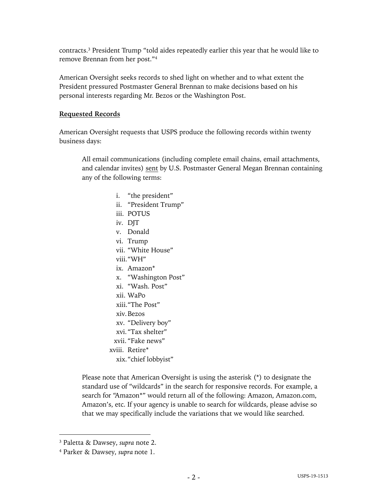contracts. <sup>3</sup> President Trump "told aides repeatedly earlier this year that he would like to remove Brennan from her post."4

American Oversight seeks records to shed light on whether and to what extent the President pressured Postmaster General Brennan to make decisions based on his personal interests regarding Mr. Bezos or the Washington Post.

## **Requested Records**

American Oversight requests that USPS produce the following records within twenty business days:

All email communications (including complete email chains, email attachments, and calendar invites) sent by U.S. Postmaster General Megan Brennan containing any of the following terms:

- i. "the president"
- ii. "President Trump"
- iii. POTUS
- iv. DIT
- v. Donald
- vi. Trump
- vii. "White House"
- viii."WH"
- ix. Amazon\*
- x. "Washington Post"
- xi. "Wash. Post"
- xii. WaPo
- xiii."The Post"
- xiv.Bezos
- xv. "Delivery boy"
- xvi."Tax shelter"
- xvii. "Fake news"
- xviii. Retire\*
	- xix."chief lobbyist"

Please note that American Oversight is using the asterisk (\*) to designate the standard use of "wildcards" in the search for responsive records. For example, a search for "Amazon\*" would return all of the following: Amazon, Amazon.com, Amazon's, etc. If your agency is unable to search for wildcards, please advise so that we may specifically include the variations that we would like searched.

<sup>3</sup> Paletta & Dawsey, *supra* note 2.

<sup>4</sup> Parker & Dawsey, *supra* note 1.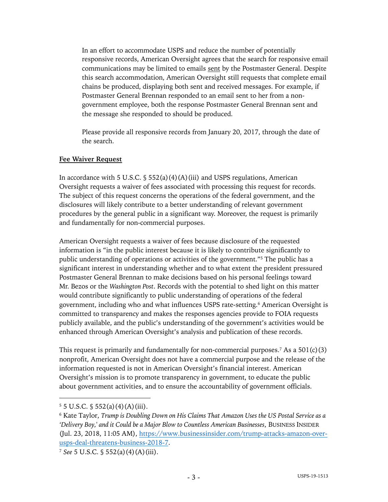In an effort to accommodate USPS and reduce the number of potentially responsive records, American Oversight agrees that the search for responsive email communications may be limited to emails sent by the Postmaster General. Despite this search accommodation, American Oversight still requests that complete email chains be produced, displaying both sent and received messages. For example, if Postmaster General Brennan responded to an email sent to her from a nongovernment employee, both the response Postmaster General Brennan sent and the message she responded to should be produced.

Please provide all responsive records from January 20, 2017, through the date of the search.

#### **Fee Waiver Request**

In accordance with 5 U.S.C.  $\frac{1}{5}$  552(a)(4)(A)(iii) and USPS regulations, American Oversight requests a waiver of fees associated with processing this request for records. The subject of this request concerns the operations of the federal government, and the disclosures will likely contribute to a better understanding of relevant government procedures by the general public in a significant way. Moreover, the request is primarily and fundamentally for non-commercial purposes.

American Oversight requests a waiver of fees because disclosure of the requested information is "in the public interest because it is likely to contribute significantly to public understanding of operations or activities of the government."5 The public has a significant interest in understanding whether and to what extent the president pressured Postmaster General Brennan to make decisions based on his personal feelings toward Mr. Bezos or the *Washington Post*. Records with the potential to shed light on this matter would contribute significantly to public understanding of operations of the federal government, including who and what influences USPS rate-setting. <sup>6</sup> American Oversight is committed to transparency and makes the responses agencies provide to FOIA requests publicly available, and the public's understanding of the government's activities would be enhanced through American Oversight's analysis and publication of these records.

This request is primarily and fundamentally for non-commercial purposes.<sup>7</sup> As a  $501(c)(3)$ nonprofit, American Oversight does not have a commercial purpose and the release of the information requested is not in American Oversight's financial interest. American Oversight's mission is to promote transparency in government, to educate the public about government activities, and to ensure the accountability of government officials.

 $5 \text{ J.S.C. }$  \$ 552(a)(4)(A)(iii).

<sup>6</sup> Kate Taylor, *Trump is Doubling Down on His Claims That Amazon Uses the US Postal Service as a 'Delivery Boy,' and it Could be a Major Blow to Countless American Businesses*, BUSINESS INSIDER (Jul. 23, 2018, 11:05 AM), https://www.businessinsider.com/trump-attacks-amazon-overusps-deal-threatens-business-2018-7.

<sup>7</sup> *See* 5 U.S.C. § 552(a)(4)(A)(iii).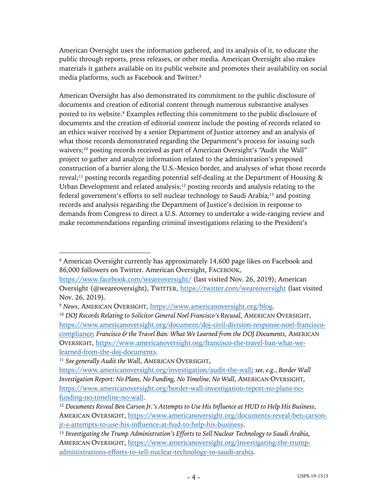American Oversight uses the information gathered, and its analysis of it, to educate the public through reports, press releases, or other media. American Oversight also makes materials it gathers available on its public website and promotes their availability on social media platforms, such as Facebook and Twitter.8

American Oversight has also demonstrated its commitment to the public disclosure of documents and creation of editorial content through numerous substantive analyses posted to its website. <sup>9</sup> Examples reflecting this commitment to the public disclosure of documents and the creation of editorial content include the posting of records related to an ethics waiver received by a senior Department of Justice attorney and an analysis of what those records demonstrated regarding the Department's process for issuing such waivers;<sup>10</sup> posting records received as part of American Oversight's "Audit the Wall" project to gather and analyze information related to the administration's proposed construction of a barrier along the U.S.-Mexico border, and analyses of what those records reveal;<sup>11</sup> posting records regarding potential self-dealing at the Department of Housing  $\&$ Urban Development and related analysis; $12$  posting records and analysis relating to the federal government's efforts to sell nuclear technology to Saudi Arabia;<sup>13</sup> and posting records and analysis regarding the Department of Justice's decision in response to demands from Congress to direct a U.S. Attorney to undertake a wide-ranging review and make recommendations regarding criminal investigations relating to the President's

<sup>8</sup> American Oversight currently has approximately 14,600 page likes on Facebook and 86,000 followers on Twitter. American Oversight, FACEBOOK,

https://www.facebook.com/weareoversight/ (last visited Nov. 26, 2019); American Oversight (@weareoversight), TWITTER, https://twitter.com/weareoversight (last visited Nov. 26, 2019).

<sup>9</sup> *News*, AMERICAN OVERSIGHT, https://www.americanoversight.org/blog.

<sup>&</sup>lt;sup>10</sup> *DOJ Records Relating to Solicitor General Noel Francisco's Recusal, AMERICAN OVERSIGHT,* https://www.americanoversight.org/document/doj-civil-division-response-noel-franciscocompliance; *Francisco & the Travel Ban: What We Learned from the DOJ Documents*, AMERICAN OVERSIGHT, https://www.americanoversight.org/francisco-the-travel-ban-what-welearned-from-the-doj-documents.

<sup>11</sup> *See generally Audit the Wall*, AMERICAN OVERSIGHT,

https://www.americanoversight.org/investigation/audit-the-wall; *see, e.g.*, *Border Wall Investigation Report: No Plans, No Funding, No Timeline, No Wall*, AMERICAN OVERSIGHT, https://www.americanoversight.org/border-wall-investigation-report-no-plans-nofunding-no-timeline-no-wall.

<sup>12</sup> *Documents Reveal Ben Carson Jr.'s Attempts to Use His Influence at HUD to Help His Business*, AMERICAN OVERSIGHT, https://www.americanoversight.org/documents-reveal-ben-carsonjr-s-attempts-to-use-his-influence-at-hud-to-help-his-business.

<sup>13</sup> *Investigating the Trump Administration's Efforts to Sell Nuclear Technology to Saudi Arabia*, AMERICAN OVERSIGHT, https://www.americanoversight.org/investigating-the-trumpadministrations-efforts-to-sell-nuclear-technology-to-saudi-arabia.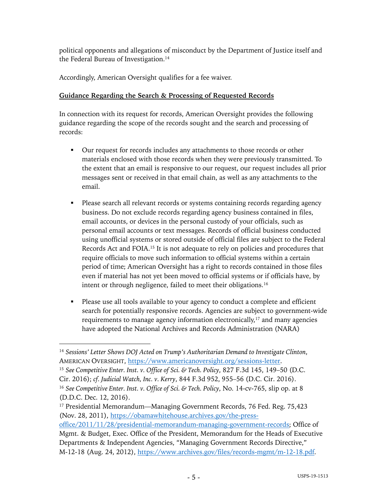political opponents and allegations of misconduct by the Department of Justice itself and the Federal Bureau of Investigation.<sup>14</sup>

Accordingly, American Oversight qualifies for a fee waiver.

# **Guidance Regarding the Search & Processing of Requested Records**

In connection with its request for records, American Oversight provides the following guidance regarding the scope of the records sought and the search and processing of records:

- Our request for records includes any attachments to those records or other materials enclosed with those records when they were previously transmitted. To the extent that an email is responsive to our request, our request includes all prior messages sent or received in that email chain, as well as any attachments to the email.
- Please search all relevant records or systems containing records regarding agency business. Do not exclude records regarding agency business contained in files, email accounts, or devices in the personal custody of your officials, such as personal email accounts or text messages. Records of official business conducted using unofficial systems or stored outside of official files are subject to the Federal Records Act and FOIA.15 It is not adequate to rely on policies and procedures that require officials to move such information to official systems within a certain period of time; American Oversight has a right to records contained in those files even if material has not yet been moved to official systems or if officials have, by intent or through negligence, failed to meet their obligations.<sup>16</sup>
- § Please use all tools available to your agency to conduct a complete and efficient search for potentially responsive records. Agencies are subject to government-wide requirements to manage agency information electronically,<sup>17</sup> and many agencies have adopted the National Archives and Records Administration (NARA)

<sup>14</sup> *Sessions' Letter Shows DOJ Acted on Trump's Authoritarian Demand to Investigate Clinton*, AMERICAN OVERSIGHT, https://www.americanoversight.org/sessions-letter.

<sup>15</sup> *See Competitive Enter. Inst. v. Office of Sci. & Tech. Policy*, 827 F.3d 145, 149–50 (D.C. Cir. 2016); *cf. Judicial Watch, Inc. v. Kerry*, 844 F.3d 952, 955–56 (D.C. Cir. 2016).

<sup>16</sup> *See Competitive Enter. Inst. v. Office of Sci. & Tech. Policy*, No. 14-cv-765, slip op. at 8 (D.D.C. Dec. 12, 2016).

<sup>&</sup>lt;sup>17</sup> Presidential Memorandum—Managing Government Records, 76 Fed. Reg. 75,423 (Nov. 28, 2011), https://obamawhitehouse.archives.gov/the-press-

office/2011/11/28/presidential-memorandum-managing-government-records; Office of Mgmt. & Budget, Exec. Office of the President, Memorandum for the Heads of Executive Departments & Independent Agencies, "Managing Government Records Directive," M-12-18 (Aug. 24, 2012), https://www.archives.gov/files/records-mgmt/m-12-18.pdf.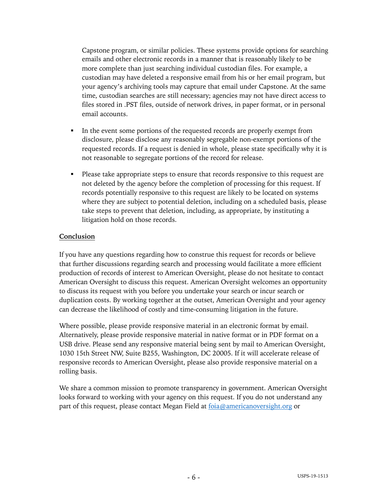Capstone program, or similar policies. These systems provide options for searching emails and other electronic records in a manner that is reasonably likely to be more complete than just searching individual custodian files. For example, a custodian may have deleted a responsive email from his or her email program, but your agency's archiving tools may capture that email under Capstone. At the same time, custodian searches are still necessary; agencies may not have direct access to files stored in .PST files, outside of network drives, in paper format, or in personal email accounts.

- In the event some portions of the requested records are properly exempt from disclosure, please disclose any reasonably segregable non-exempt portions of the requested records. If a request is denied in whole, please state specifically why it is not reasonable to segregate portions of the record for release.
- § Please take appropriate steps to ensure that records responsive to this request are not deleted by the agency before the completion of processing for this request. If records potentially responsive to this request are likely to be located on systems where they are subject to potential deletion, including on a scheduled basis, please take steps to prevent that deletion, including, as appropriate, by instituting a litigation hold on those records.

## **Conclusion**

If you have any questions regarding how to construe this request for records or believe that further discussions regarding search and processing would facilitate a more efficient production of records of interest to American Oversight, please do not hesitate to contact American Oversight to discuss this request. American Oversight welcomes an opportunity to discuss its request with you before you undertake your search or incur search or duplication costs. By working together at the outset, American Oversight and your agency can decrease the likelihood of costly and time-consuming litigation in the future.

Where possible, please provide responsive material in an electronic format by email. Alternatively, please provide responsive material in native format or in PDF format on a USB drive. Please send any responsive material being sent by mail to American Oversight, 1030 15th Street NW, Suite B255, Washington, DC 20005. If it will accelerate release of responsive records to American Oversight, please also provide responsive material on a rolling basis.

We share a common mission to promote transparency in government. American Oversight looks forward to working with your agency on this request. If you do not understand any part of this request, please contact Megan Field at foia@americanoversight.org or